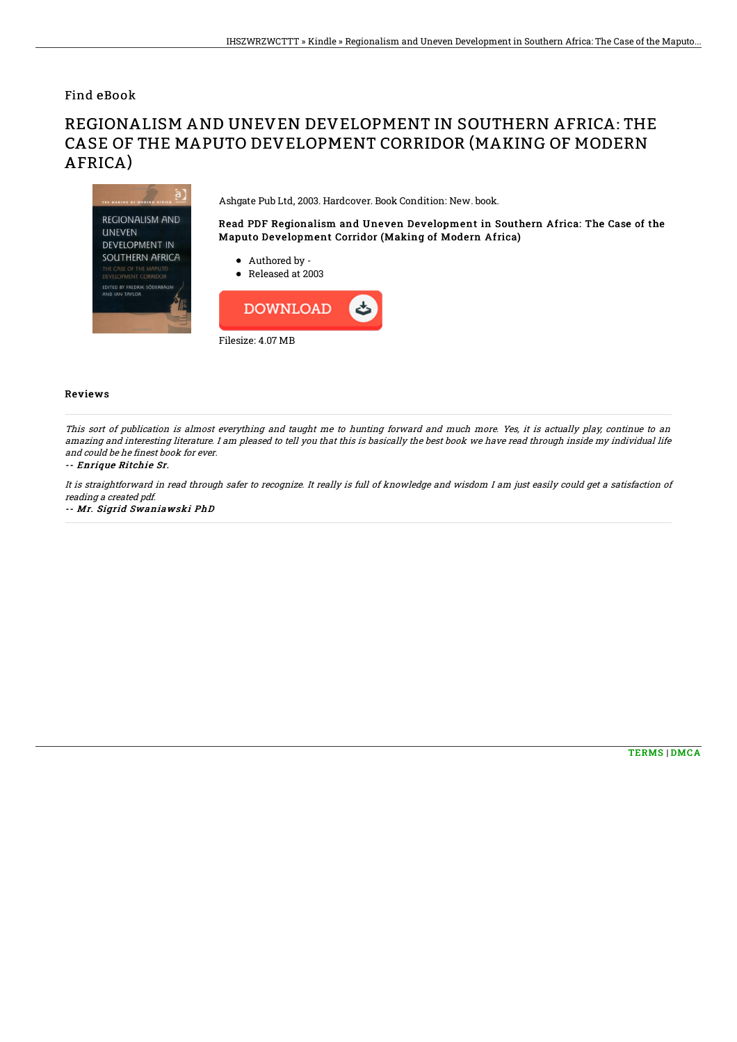Find eBook

## REGIONALISM AND UNEVEN DEVELOPMENT IN SOUTHERN AFRICA: THE CASE OF THE MAPUTO DEVELOPMENT CORRIDOR (MAKING OF MODERN AFRICA)

Ashgate Pub Ltd, 2003. Hardcover. Book Condition: New. book.

Read PDF Regionalism and Uneven Development in Southern Africa: The Case of the Maputo Development Corridor (Making of Modern Africa)



Released at 2003

Authored by -



## Reviews

This sort of publication is almost everything and taught me to hunting forward and much more. Yes, it is actually play, continue to an amazing and interesting literature. I am pleased to tell you that this is basically the best book we have read through inside my individual life and could be he finest book for ever.

## -- Enrique Ritchie Sr.

It is straightforward in read through safer to recognize. It really is full of knowledge and wisdom I am just easily could get <sup>a</sup> satisfaction of reading <sup>a</sup> created pdf.

-- Mr. Sigrid Swaniawski PhD